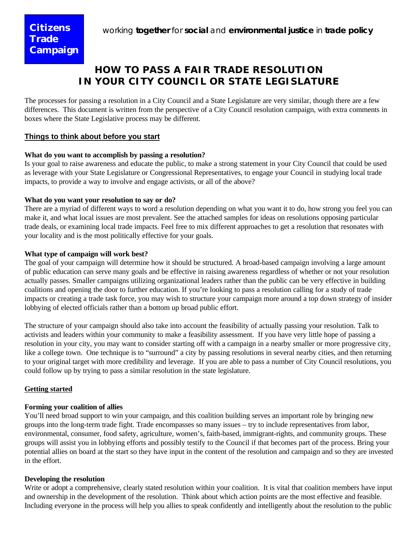# **HOW TO PASS A FAIR TRADE RESOLUTION IN YOUR CITY COUNCIL OR STATE LEGISLATURE**

The processes for passing a resolution in a City Council and a State Legislature are very similar, though there are a few differences. This document is written from the perspective of a City Council resolution campaign, with extra comments in boxes where the State Legislative process may be different.

# **Things to think about before you start**

# **What do you want to accomplish by passing a resolution?**

Is your goal to raise awareness and educate the public, to make a strong statement in your City Council that could be used as leverage with your State Legislature or Congressional Representatives, to engage your Council in studying local trade impacts, to provide a way to involve and engage activists, or all of the above?

#### **What do you want your resolution to say or do?**

There are a myriad of different ways to word a resolution depending on what you want it to do, how strong you feel you can make it, and what local issues are most prevalent. See the attached samples for ideas on resolutions opposing particular trade deals, or examining local trade impacts. Feel free to mix different approaches to get a resolution that resonates with your locality and is the most politically effective for your goals.

#### **What type of campaign will work best?**

The goal of your campaign will determine how it should be structured. A broad-based campaign involving a large amount of public education can serve many goals and be effective in raising awareness regardless of whether or not your resolution actually passes. Smaller campaigns utilizing organizational leaders rather than the public can be very effective in building coalitions and opening the door to further education. If you're looking to pass a resolution calling for a study of trade impacts or creating a trade task force, you may wish to structure your campaign more around a top down strategy of insider lobbying of elected officials rather than a bottom up broad public effort.

The structure of your campaign should also take into account the feasibility of actually passing your resolution. Talk to activists and leaders within your community to make a feasibility assessment. If you have very little hope of passing a resolution in your city, you may want to consider starting off with a campaign in a nearby smaller or more progressive city, like a college town. One technique is to "surround" a city by passing resolutions in several nearby cities, and then returning to your original target with more credibility and leverage. If you are able to pass a number of City Council resolutions, you could follow up by trying to pass a similar resolution in the state legislature.

# **Getting started**

#### **Forming your coalition of allies**

You'll need broad support to win your campaign, and this coalition building serves an important role by bringing new groups into the long-term trade fight. Trade encompasses so many issues – try to include representatives from labor, environmental, consumer, food safety, agriculture, women's, faith-based, immigrant-rights, and community groups. These groups will assist you in lobbying efforts and possibly testify to the Council if that becomes part of the process. Bring your potential allies on board at the start so they have input in the content of the resolution and campaign and so they are invested in the effort.

#### **Developing the resolution**

Write or adopt a comprehensive, clearly stated resolution within your coalition. It is vital that coalition members have input and ownership in the development of the resolution. Think about which action points are the most effective and feasible. Including everyone in the process will help you allies to speak confidently and intelligently about the resolution to the public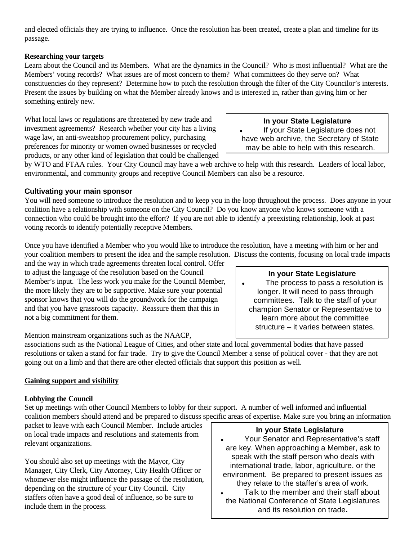and elected officials they are trying to influence. Once the resolution has been created, create a plan and timeline for its passage.

# **Researching your targets**

Learn about the Council and its Members. What are the dynamics in the Council? Who is most influential? What are the Members' voting records? What issues are of most concern to them? What committees do they serve on? What constituencies do they represent? Determine how to pitch the resolution through the filter of the City Councilor's interests. Present the issues by building on what the Member already knows and is interested in, rather than giving him or her something entirely new.

What local laws or regulations are threatened by new trade and investment agreements? Research whether your city has a living wage law, an anti-sweatshop procurement policy, purchasing preferences for minority or women owned businesses or recycled products, or any other kind of legislation that could be challenged

**In your State Legislature** If your State Legislature does not have web archive, the Secretary of State may be able to help with this research.

by WTO and FTAA rules. Your City Council may have a web archive to help with this research. Leaders of local labor, environmental, and community groups and receptive Council Members can also be a resource.

# **Cultivating your main sponsor**

You will need someone to introduce the resolution and to keep you in the loop throughout the process. Does anyone in your coalition have a relationship with someone on the City Council? Do you know anyone who knows someone with a connection who could be brought into the effort? If you are not able to identify a preexisting relationship, look at past voting records to identify potentially receptive Members.

Once you have identified a Member who you would like to introduce the resolution, have a meeting with him or her and your coalition members to present the idea and the sample resolution. Discuss the contents, focusing on local trade impacts

and the way in which trade agreements threaten local control. Offer to adjust the language of the resolution based on the Council Member's input. The less work you make for the Council Member, the more likely they are to be supportive. Make sure your potential sponsor knows that you will do the groundwork for the campaign and that you have grassroots capacity. Reassure them that this in not a big commitment for them.

# **In your State Legislature**

• The process to pass a resolution is longer. It will need to pass through committees. Talk to the staff of your champion Senator or Representative to learn more about the committee structure – it varies between states.

Mention mainstream organizations such as the NAACP,

associations such as the National League of Cities, and other state and local governmental bodies that have passed resolutions or taken a stand for fair trade. Try to give the Council Member a sense of political cover - that they are not going out on a limb and that there are other elected officials that support this position as well.

# **Gaining support and visibility**

#### **Lobbying the Council**

Set up meetings with other Council Members to lobby for their support. A number of well informed and influential coalition members should attend and be prepared to discuss specific areas of expertise. Make sure you bring an information

packet to leave with each Council Member. Include articles on local trade impacts and resolutions and statements from relevant organizations.

You should also set up meetings with the Mayor, City Manager, City Clerk, City Attorney, City Health Officer or whomever else might influence the passage of the resolution, depending on the structure of your City Council. City staffers often have a good deal of influence, so be sure to include them in the process.

#### **In your State Legislature**

- Your Senator and Representative's staff are key. When approaching a Member, ask to speak with the staff person who deals with international trade, labor, agriculture. or the environment. Be prepared to present issues as they relate to the staffer's area of work.
- Talk to the member and their staff about the National Conference of State Legislatures and its resolution on trade**.**